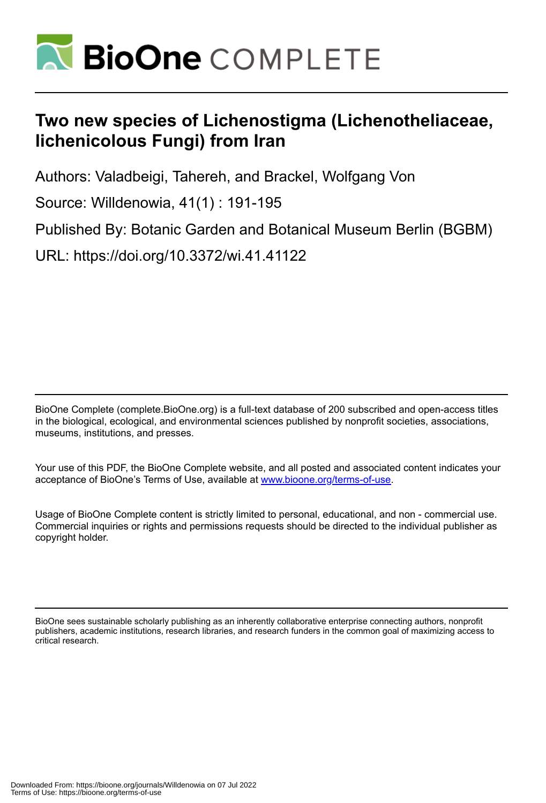

# **Two new species of Lichenostigma (Lichenotheliaceae, lichenicolous Fungi) from Iran**

Authors: Valadbeigi, Tahereh, and Brackel, Wolfgang Von

Source: Willdenowia, 41(1) : 191-195

Published By: Botanic Garden and Botanical Museum Berlin (BGBM)

URL: https://doi.org/10.3372/wi.41.41122

BioOne Complete (complete.BioOne.org) is a full-text database of 200 subscribed and open-access titles in the biological, ecological, and environmental sciences published by nonprofit societies, associations, museums, institutions, and presses.

Your use of this PDF, the BioOne Complete website, and all posted and associated content indicates your acceptance of BioOne's Terms of Use, available at www.bioone.org/terms-of-use.

Usage of BioOne Complete content is strictly limited to personal, educational, and non - commercial use. Commercial inquiries or rights and permissions requests should be directed to the individual publisher as copyright holder.

BioOne sees sustainable scholarly publishing as an inherently collaborative enterprise connecting authors, nonprofit publishers, academic institutions, research libraries, and research funders in the common goal of maximizing access to critical research.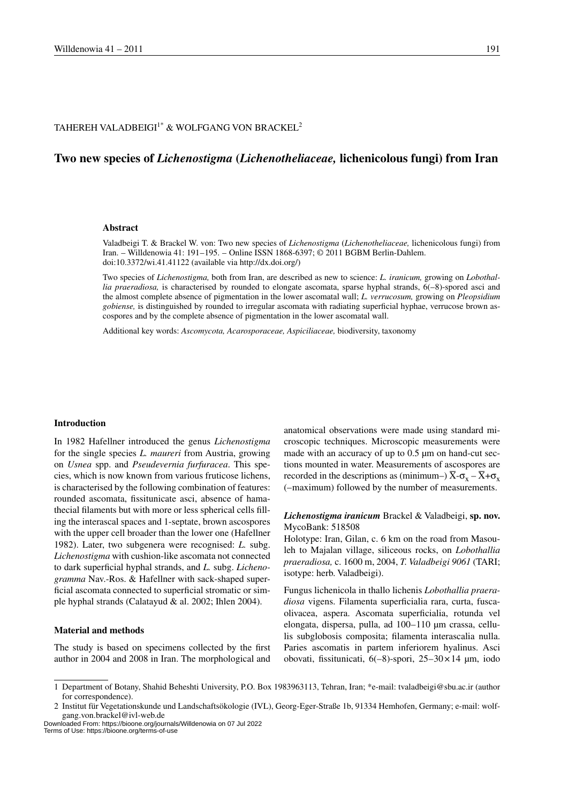## TAHEREH VALADBEIGI<sup>1\*</sup> & WOLFGANG VON BRACKEL<sup>2</sup>

# **Two new species of** *Lichenostigma* **(***Lichenotheliaceae,* **lichenicolous fungi) from Iran**

#### **Abstract**

Valadbeigi T. & Brackel W. von: Two new species of *Lichenostigma* (*Lichenotheliaceae,* lichenicolous fungi) from Iran. – Willdenowia 41: 191–195. – Online ISSN 1868-6397; © 2011 BGBM Berlin-Dahlem. doi:10.3372/wi.41.41122 (available via http://dx.doi.org/)

Two species of *Lichenostigma,* both from Iran, are described as new to science: *L. iranicum,* growing on *Lobothal*lia praeradiosa, is characterised by rounded to elongate ascomata, sparse hyphal strands, 6(-8)-spored asci and the almost complete absence of pigmentation in the lower ascomatal wall; *L. verrucosum,* growing on *Pleopsidium gobiense,* is distinguished by rounded to irregular ascomata with radiating superficial hyphae, verrucose brown ascospores and by the complete absence of pigmentation in the lower ascomatal wall.

Additional key words: *Ascomycota, Acarosporaceae, Aspiciliaceae,* biodiversity, taxonomy

#### **Introduction**

In 1982 Hafellner introduced the genus *Lichenostigma* for the single species *L. maureri* from Austria, growing on *Usnea* spp. and *Pseudevernia furfuracea*. This species, which is now known from various fruticose lichens, is characterised by the following combination of features: rounded ascomata, fissitunicate asci, absence of hamathecial filaments but with more or less spherical cells filling the interascal spaces and 1-septate, brown ascospores with the upper cell broader than the lower one (Hafellner 1982). Later, two subgenera were recognised: *L.* subg. *Lichenostigma* with cushion-like ascomata not connected to dark superficial hyphal strands, and *L.* subg. *Lichenogramma* Nav.-Ros. & Hafellner with sack-shaped superficial ascomata connected to superficial stromatic or simple hyphal strands (Calatayud & al. 2002; Ihlen 2004).

### **Material and methods**

The study is based on specimens collected by the first author in 2004 and 2008 in Iran. The morphological and

anatomical observations were made using standard microscopic techniques. Microscopic measurements were made with an accuracy of up to 0.5 µm on hand-cut sections mounted in water. Measurements of ascospores are recorded in the descriptions as (minimum–)  $\overline{X}$ - $\sigma_x$  –  $\overline{X}$ + $\sigma_x$ (–maximum) followed by the number of measurements.

#### *Lichenostigma iranicum* Brackel & Valadbeigi, **sp. nov.** MycoBank: 518508

Holotype: Iran, Gilan, c. 6 km on the road from Masouleh to Majalan village, siliceous rocks, on *Lobothallia praeradiosa,* c. 1600 m, 2004, *T. Valadbeigi 9061* (TARI; isotype: herb. Valadbeigi).

Fungus lichenicola in thallo lichenis *Lobothallia praeradiosa* vigens. Filamenta superficialia rara, curta, fuscaolivacea, aspera. Ascomata superficialia, rotunda vel elongata, dispersa, pulla, ad 100–110 µm crassa, cellulis subglobosis composita; filamenta interascalia nulla. Paries ascomatis in partem inferiorem hyalinus. Asci obovati, fissitunicati, 6(–8)-spori, 25–30×14 µm, iodo

Downloaded From: https://bioone.org/journals/Willdenowia on 07 Jul 2022 Terms of Use: https://bioone.org/terms-of-use

<sup>1</sup> Department of Botany, Shahid Beheshti University, P.O. Box 1983963113, Tehran, Iran; \*e-mail: tvaladbeigi@sbu.ac.ir (author for correspondence).

<sup>2</sup> Institut für Vegetationskunde und Landschaftsökologie (IVL), Georg-Eger-Straße 1b, 91334 Hemhofen, Germany; e-mail: wolfgang.von.brackel@ivl-web.de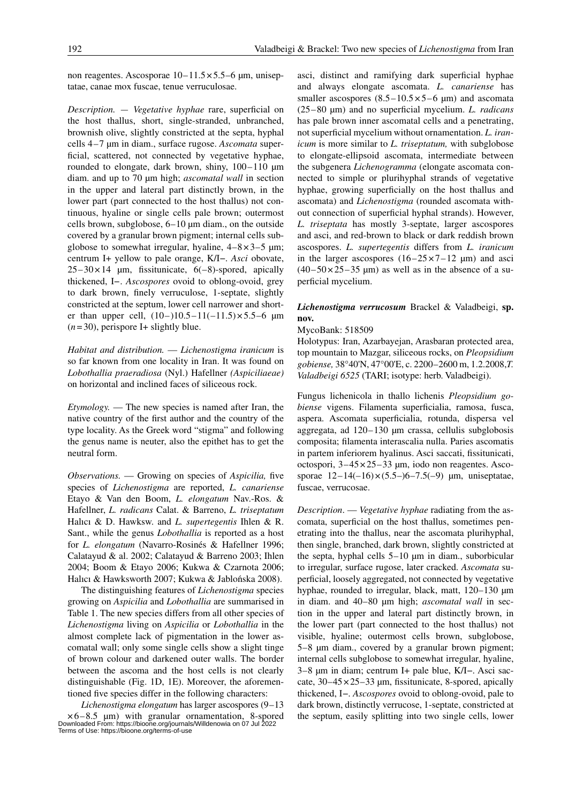non reagentes. Ascosporae  $10-11.5\times5.5-6$  µm, uniseptatae, canae mox fuscae, tenue verruculosae.

*Description.* — *Vegetative hyphae* rare, superficial on the host thallus, short, single-stranded, unbranched, brownish olive, slightly constricted at the septa, hyphal cells 4 – 7 µm in diam., surface rugose. *Ascomata* superficial, scattered, not connected by vegetative hyphae, rounded to elongate, dark brown, shiny,  $100 - 110 \mu m$ diam. and up to 70 um high; *ascomatal wall* in section in the upper and lateral part distinctly brown, in the lower part (part connected to the host thallus) not continuous, hyaline or single cells pale brown; outermost cells brown, subglobose,  $6-10$  um diam., on the outside covered by a granular brown pigment; internal cells subglobose to somewhat irregular, hyaline,  $4-8\times3-5$  µm; centrum I+ yellow to pale orange, K/I−. *Asci* obovate,  $25 - 30 \times 14$  µm, fissitunicate, 6(-8)-spored, apically thickened, I−. *Ascospores* ovoid to oblong-ovoid, grey to dark brown, finely verruculose, 1-septate, slightly constricted at the septum, lower cell narrower and shorter than upper cell,  $(10-)10.5-11(-11.5) \times 5.5-6 \mu m$  $(n=30)$ , perispore I+ slightly blue.

*Habitat and distribution.* — *Lichenostigma iranicum* is so far known from one locality in Iran. It was found on *Lobothallia praeradiosa* (Nyl.) Hafellner *(Aspiciliaeae)* on horizontal and inclined faces of siliceous rock.

*Etymology.* — The new species is named after Iran, the native country of the first author and the country of the type locality. As the Greek word "stigma" and following the genus name is neuter, also the epithet has to get the neutral form.

*Observations.* — Growing on species of *Aspicilia,* five species of *Lichenostigma* are reported, *L. canariense*  Etayo & Van den Boom, *L. elongatum* Nav.-Ros. & Hafellner, *L. radicans* Calat. & Barreno, *L. triseptatum*  Halıcı & D. Hawksw. and *L. supertegentis* Ihlen & R. Sant., while the genus *Lobothallia* is reported as a host for *L. elongatum* (Navarro-Rosinés & Hafellner 1996; Calatayud & al. 2002; Calatayud & Barreno 2003; Ihlen 2004; Boom & Etayo 2006; Kukwa & Czarnota 2006; Halıcı & Hawksworth 2007; Kukwa & Jablońska 2008).

The distinguishing features of *Lichenostigma* species growing on *Aspicilia* and *Lobothallia* are summarised in Table 1. The new species differs from all other species of *Lichenostigma* living on *Aspicilia* or *Lobothallia* in the almost complete lack of pigmentation in the lower ascomatal wall; only some single cells show a slight tinge of brown colour and darkened outer walls. The border between the ascoma and the host cells is not clearly distinguishable (Fig. 1D, 1E). Moreover, the aforementioned five species differ in the following characters:

*Lichenostigma elongatum* has larger ascospores (9-13 ×6 – 8.5 µm) with granular ornamentation, 8-spored Downloaded From: https://bioone.org/journals/Willdenowia on 07 Jul 2022 Terms of Use: https://bioone.org/terms-of-use asci, distinct and ramifying dark superficial hyphae and always elongate ascomata. *L. canariense* has smaller ascospores  $(8.5 - 10.5 \times 5 - 6 \mu m)$  and ascomata (25 – 80 µm) and no superficial mycelium. *L. radicans* has pale brown inner ascomatal cells and a penetrating, not superficial mycelium without ornamentation. *L. iranicum* is more similar to *L. triseptatum,* with subglobose to elongate-ellipsoid ascomata, intermediate between the subgenera *Lichenogramma* (elongate ascomata connected to simple or plurihyphal strands of vegetative hyphae, growing superficially on the host thallus and ascomata) and *Lichenostigma* (rounded ascomata without connection of superficial hyphal strands). However, *L. triseptata* has mostly 3-septate, larger ascospores and asci, and red-brown to black or dark reddish brown ascospores. *L. supertegentis* differs from *L. iranicum* in the larger ascospores  $(16-25 \times 7-12 \text{ µm})$  and asci  $(40-50\times25-35)$  um) as well as in the absence of a superficial mycelium.

### *Lichenostigma verrucosum* Brackel & Valadbeigi, **sp. nov.**

MycoBank: 518509

Holotypus: Iran, Azarbayejan, Arasbaran protected area, top mountain to Mazgar, siliceous rocks, on *Pleopsidium gobiense,* 38°40'N, 47°00'E, c. 2200–2600 m, 1.2.2008,*T. Valadbeigi 6525* (TARI; isotype: herb. Valadbeigi).

Fungus lichenicola in thallo lichenis *Pleopsidium gobiense* vigens. Filamenta superficialia, ramosa, fusca, aspera. Ascomata superficialia, rotunda, dispersa vel aggregata, ad  $120-130 \mu m$  crassa, cellulis subglobosis composita; filamenta interascalia nulla. Paries ascomatis in partem inferiorem hyalinus. Asci saccati, fissitunicati, octospori,  $3-45 \times 25-33$  µm, iodo non reagentes. Ascosporae  $12-14(-16) \times (5.5-6-7.5(-9) \text{ µm}, \text{uniseptatae},$ fuscae, verrucosae.

*Description*. — *Vegetative hyphae* radiating from the ascomata, superficial on the host thallus, sometimes penetrating into the thallus, near the ascomata plurihyphal, then single, branched, dark brown, slightly constricted at the septa, hyphal cells 5–10 µm in diam., suborbicular to irregular, surface rugose, later cracked. *Ascomata* superficial, loosely aggregated, not connected by vegetative hyphae, rounded to irregular, black, matt, 120–130 µm in diam. and 40–80 µm high; *ascomatal wall* in section in the upper and lateral part distinctly brown, in the lower part (part connected to the host thallus) not visible, hyaline; outermost cells brown, subglobose, 5–8 µm diam., covered by a granular brown pigment; internal cells subglobose to somewhat irregular, hyaline, 3–8 µm in diam; centrum I+ pale blue, K/I −. Asci saccate,  $30-45 \times 25-33$  µm, fissitunicate, 8-spored, apically thickened, I −. *Ascospores* ovoid to oblong-ovoid, pale to dark brown, distinctly verrucose, 1-septate, constricted at the septum, easily splitting into two single cells, lower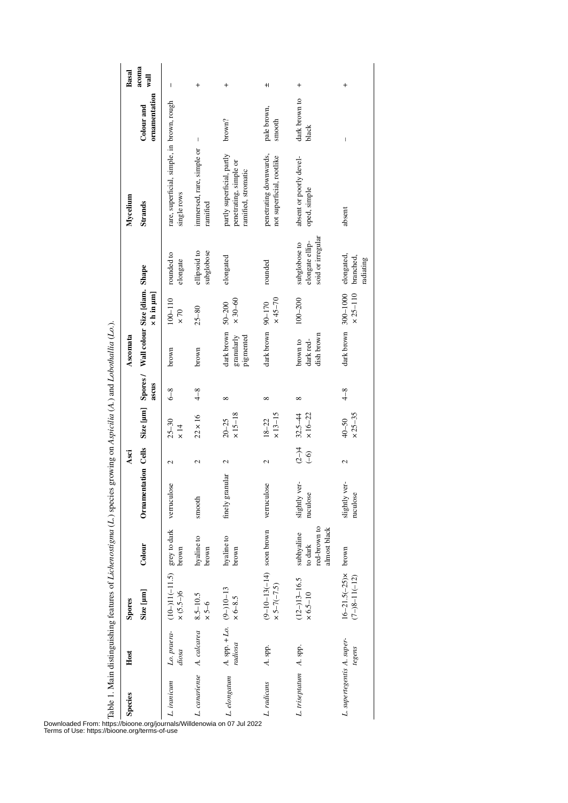| <b>Species</b>             | Host                                 | Spores                                                        |                                                       |                           | Asci                     |                                 |              | Ascomata                                         |                            |                                                       | Mycelium                                                                    |                             | <b>Basal</b>             |
|----------------------------|--------------------------------------|---------------------------------------------------------------|-------------------------------------------------------|---------------------------|--------------------------|---------------------------------|--------------|--------------------------------------------------|----------------------------|-------------------------------------------------------|-----------------------------------------------------------------------------|-----------------------------|--------------------------|
|                            |                                      | Size [µm]                                                     | Colour                                                | Ornamentation Cells       |                          |                                 | ascus        | Size [µm] Spores / Wall colour Size [diam. Shape | $\times$ h in $\mu$ m]     |                                                       | <b>Strands</b>                                                              | ornamentation<br>Colour and | acoma<br>wall            |
| L. iranicum                | Lo. praera-<br>diosa                 | $(10-11(-11.5))$ grey to dark verruculose<br>$\times (5.5-)6$ | brown                                                 |                           | 2                        | $25 - 30$<br>$\times$ 14        | $6 - 8$      | brown                                            | $100 - 110$<br>$\times 70$ | rounded to<br>elongate                                | rare, superficial, simple, in brown, rough<br>single rows                   |                             | I                        |
| L. canariense A. calcarea  |                                      | $8.5 - 10.5$<br>$\times$ 5-6                                  | hyaline to<br>brown                                   | smooth                    | 2                        | $22 \times 16$                  | $4 - 8$      | brown                                            | $25 - 80$                  | ellipsoid to<br>subglobose                            | immersed, rare, simple or<br>ramified                                       | I                           | $\ddot{}$                |
| L. elongatum               | A. spp. $+ Lo.$ (9-)10-13<br>radiosa | $\times 6-8.5$                                                | hyaline to<br>brown                                   | finely granular           | 2                        | $×15 - 18$<br>$20 - 25$         | ${}^{\circ}$ | dark brown 50-200<br>granularly<br>pigmented     | $\times$ 30–60             | elongated                                             | partly superficial, partly<br>penetrating, simple or<br>ramified, stromatic | brown?                      | $\ddot{}$                |
| L. radicans                | A. spp.                              | $(9-10-13(-14) )$ soon brown<br>$\times 5 - 7(-7.5)$          |                                                       | verruculose               | $\mathcal{L}$            | $\times$ 13-15<br>$18 - 22$     | $^{\circ}$   | dark brown 90-170                                | $x45 - 70$                 | rounded                                               | penetrating downwards,<br>not superficial, rootlike                         | pale brown,<br>smooth       | $\pm$                    |
| L. triseptatum A. spp.     |                                      | $(12-)13-16.5$<br>$\times 6.5 - 10$                           | red-brown to<br>almost black<br>subhyaline<br>to dark | slightly ver-<br>ruculose | $(2-)4$<br>$\widehat{C}$ | $\times 16 - 22$<br>$32.5 - 44$ | $^{\circ}$   | dish brown<br>dark red-<br>brown to              | $100 - 200$                | soid or irregular<br>elongate ellip-<br>subglobose to | absent or poorly devel-<br>oped, simple                                     | dark brown to<br>black      | $\overline{\phantom{a}}$ |
| L. supertegentis A. super- | tegens                               | $16-21.5(-25) \times$ brown<br>$(7-)8-11(-12)$                |                                                       | slightly ver-<br>ruculose | $\mathbf{\Omega}$        | $×25-35$<br>$40 - 50$           | $4-8$        | dark brown 300-1000                              | $\times 25 - 110$          | elongated,<br>branched,<br>radiating                  | absent                                                                      | I                           | $\overline{+}$           |

Table 1. Main distinguishing features of *Lichenostigma* (*L.*) species growing on *Aspicilia* (*A.*) and *Lobothallia* (*Lo.*).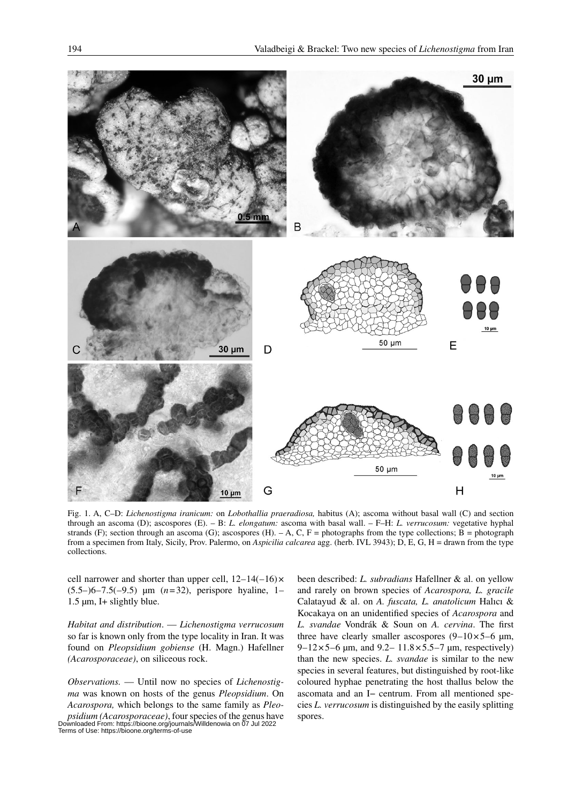

Fig. 1. A, C–D: *Lichenostigma iranicum:* on *Lobothallia praeradiosa,* habitus (A); ascoma without basal wall (C) and section through an ascoma (D); ascospores (E). – B: *L. elongatum:* ascoma with basal wall. – F–H: *L. verrucosum:* vegetative hyphal strands (F); section through an ascoma (G); ascospores (H).  $-A$ , C, F = photographs from the type collections; B = photograph from a specimen from Italy, Sicily, Prov. Palermo, on *Aspicilia calcarea* agg. (herb. IVL 3943); D, E, G, H = drawn from the type collections.

cell narrower and shorter than upper cell,  $12-14(-16) \times$ (5.5–)6–7.5(–9.5) µm (*n*=32), perispore hyaline, 1– 1.5 µm, I+ slightly blue.

*Habitat and distribution*. — *Lichenostigma verrucosum* so far is known only from the type locality in Iran. It was found on *Pleopsidium gobiense* (H. Magn.) Hafellner *(Acarosporaceae)*, on siliceous rock.

*Observations.* — Until now no species of *Lichenostigma* was known on hosts of the genus *Pleopsidium*. On *Acarospora,* which belongs to the same family as *Pleopsidium (Acarosporaceae)*, four species of the genus have Downloaded From: https://bioone.org/journals/Willdenowia on 07 Jul 2022 Terms of Use: https://bioone.org/terms-of-use

been described: *L. subradians* Hafellner & al. on yellow and rarely on brown species of *Acarospora, L. gracile* Calatayud & al. on *A. fuscata, L. anatolicum* Halıcı & Kocakaya on an unidentified species of *Acarospora* and *L. svandae* Vondrák & Soun on *A. cervina*. The first three have clearly smaller ascospores  $(9-10\times5-6 \mu m,$ 9–12×5–6  $\mu$ m, and 9.2– 11.8×5.5–7  $\mu$ m, respectively) than the new species. *L. svandae* is similar to the new species in several features, but distinguished by root-like coloured hyphae penetrating the host thallus below the ascomata and an I− centrum. From all mentioned species *L. verrucosum* is distinguished by the easily splitting spores.